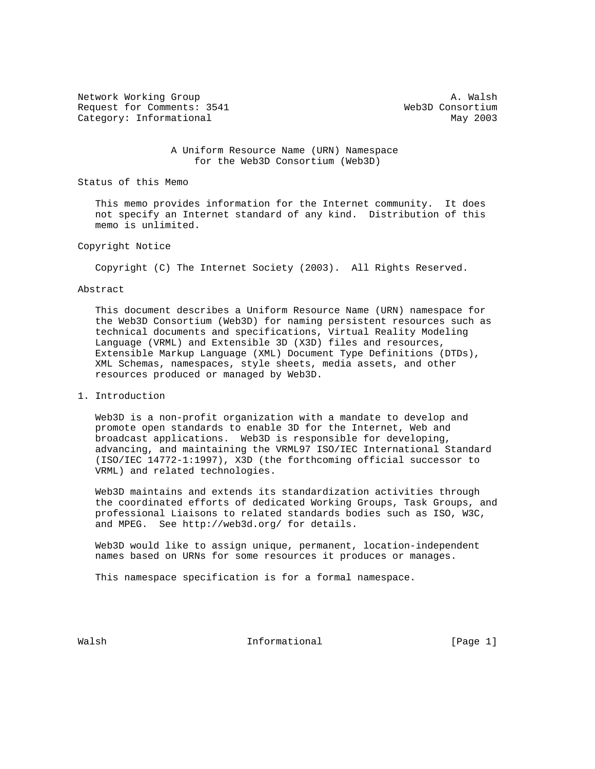Network Working Group and the set of the set of the set of the set of the set of the set of the set of the set of the set of the set of the set of the set of the set of the set of the set of the set of the set of the set o Request for Comments: 3541 Web3D Consortium Category: Informational May 2003

 A Uniform Resource Name (URN) Namespace for the Web3D Consortium (Web3D)

Status of this Memo

 This memo provides information for the Internet community. It does not specify an Internet standard of any kind. Distribution of this memo is unlimited.

## Copyright Notice

Copyright (C) The Internet Society (2003). All Rights Reserved.

## Abstract

 This document describes a Uniform Resource Name (URN) namespace for the Web3D Consortium (Web3D) for naming persistent resources such as technical documents and specifications, Virtual Reality Modeling Language (VRML) and Extensible 3D (X3D) files and resources, Extensible Markup Language (XML) Document Type Definitions (DTDs), XML Schemas, namespaces, style sheets, media assets, and other resources produced or managed by Web3D.

## 1. Introduction

 Web3D is a non-profit organization with a mandate to develop and promote open standards to enable 3D for the Internet, Web and broadcast applications. Web3D is responsible for developing, advancing, and maintaining the VRML97 ISO/IEC International Standard (ISO/IEC 14772-1:1997), X3D (the forthcoming official successor to VRML) and related technologies.

 Web3D maintains and extends its standardization activities through the coordinated efforts of dedicated Working Groups, Task Groups, and professional Liaisons to related standards bodies such as ISO, W3C, and MPEG. See http://web3d.org/ for details.

 Web3D would like to assign unique, permanent, location-independent names based on URNs for some resources it produces or manages.

This namespace specification is for a formal namespace.

Walsh **Informational Informational Informational** [Page 1]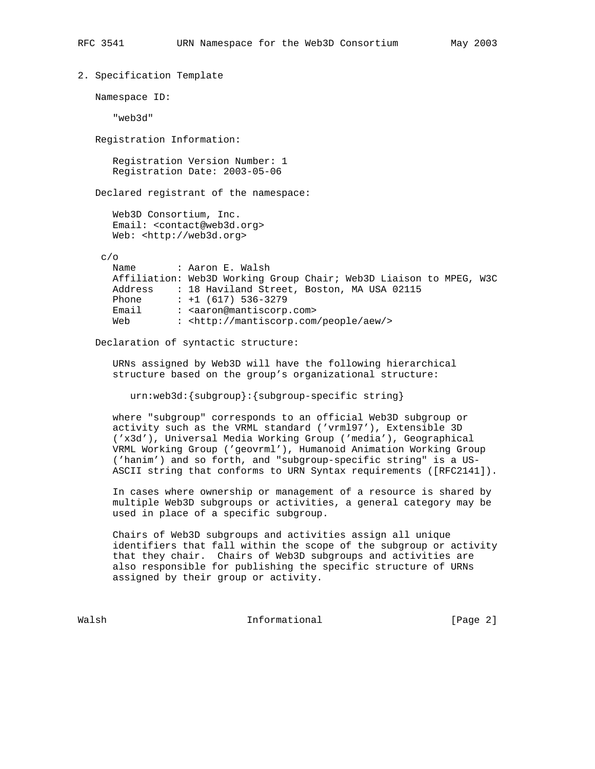```
2. Specification Template
Namespace ID:
   "web3d"
Registration Information:
   Registration Version Number: 1
   Registration Date: 2003-05-06
Declared registrant of the namespace:
   Web3D Consortium, Inc.
   Email: <contact@web3d.org>
   Web: <http://web3d.org>
 c/o
  Name : Aaron E. Walsh
   Affiliation: Web3D Working Group Chair; Web3D Liaison to MPEG, W3C
  Address : 18 Haviland Street, Boston, MA USA 02115<br>Phone : +1 (617) 536-3279
            : +1 (617) 536-3279Email : <aaron@mantiscorp.com>
   Web : <http://mantiscorp.com/people/aew/>
```
Declaration of syntactic structure:

 URNs assigned by Web3D will have the following hierarchical structure based on the group's organizational structure:

urn:web3d:{subgroup}:{subgroup-specific string}

 where "subgroup" corresponds to an official Web3D subgroup or activity such as the VRML standard ('vrml97'), Extensible 3D ('x3d'), Universal Media Working Group ('media'), Geographical VRML Working Group ('geovrml'), Humanoid Animation Working Group ('hanim') and so forth, and "subgroup-specific string" is a US- ASCII string that conforms to URN Syntax requirements ([RFC2141]).

 In cases where ownership or management of a resource is shared by multiple Web3D subgroups or activities, a general category may be used in place of a specific subgroup.

 Chairs of Web3D subgroups and activities assign all unique identifiers that fall within the scope of the subgroup or activity that they chair. Chairs of Web3D subgroups and activities are also responsible for publishing the specific structure of URNs assigned by their group or activity.

Walsh **Informational Informational Informational I**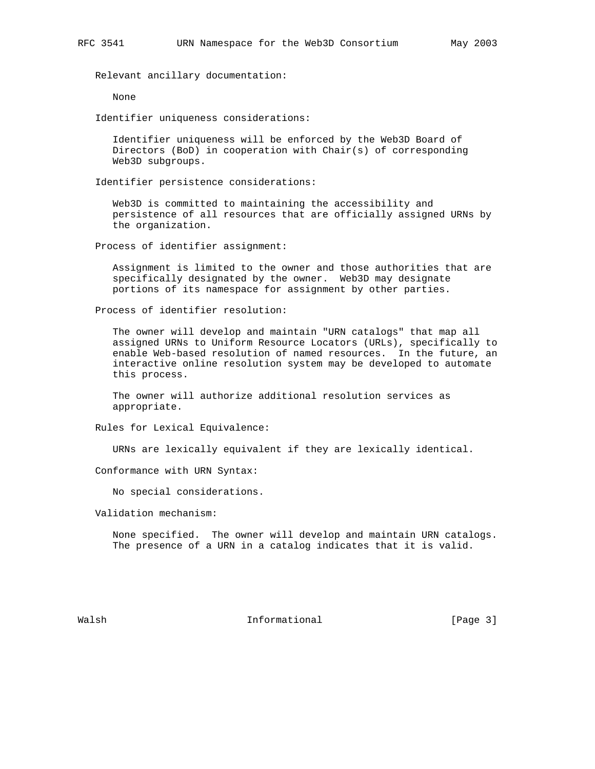Relevant ancillary documentation:

None

Identifier uniqueness considerations:

 Identifier uniqueness will be enforced by the Web3D Board of Directors (BoD) in cooperation with Chair(s) of corresponding Web3D subgroups.

Identifier persistence considerations:

 Web3D is committed to maintaining the accessibility and persistence of all resources that are officially assigned URNs by the organization.

Process of identifier assignment:

 Assignment is limited to the owner and those authorities that are specifically designated by the owner. Web3D may designate portions of its namespace for assignment by other parties.

Process of identifier resolution:

 The owner will develop and maintain "URN catalogs" that map all assigned URNs to Uniform Resource Locators (URLs), specifically to enable Web-based resolution of named resources. In the future, an interactive online resolution system may be developed to automate this process.

 The owner will authorize additional resolution services as appropriate.

Rules for Lexical Equivalence:

URNs are lexically equivalent if they are lexically identical.

Conformance with URN Syntax:

No special considerations.

Validation mechanism:

 None specified. The owner will develop and maintain URN catalogs. The presence of a URN in a catalog indicates that it is valid.

Walsh **Informational Informational Informational I**Page 3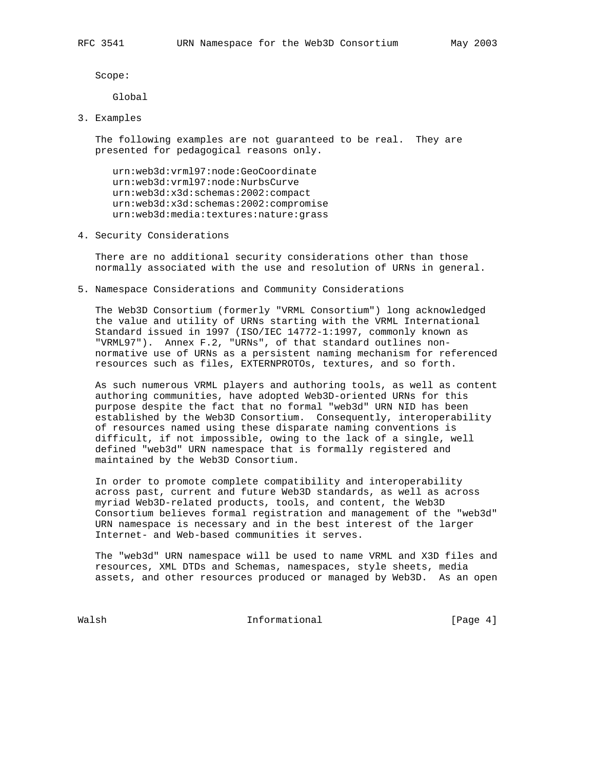Scope:

Global

3. Examples

 The following examples are not guaranteed to be real. They are presented for pedagogical reasons only.

 urn:web3d:vrml97:node:GeoCoordinate urn:web3d:vrml97:node:NurbsCurve urn:web3d:x3d:schemas:2002:compact urn:web3d:x3d:schemas:2002:compromise urn:web3d:media:textures:nature:grass

4. Security Considerations

 There are no additional security considerations other than those normally associated with the use and resolution of URNs in general.

5. Namespace Considerations and Community Considerations

 The Web3D Consortium (formerly "VRML Consortium") long acknowledged the value and utility of URNs starting with the VRML International Standard issued in 1997 (ISO/IEC 14772-1:1997, commonly known as "VRML97"). Annex F.2, "URNs", of that standard outlines non normative use of URNs as a persistent naming mechanism for referenced resources such as files, EXTERNPROTOs, textures, and so forth.

 As such numerous VRML players and authoring tools, as well as content authoring communities, have adopted Web3D-oriented URNs for this purpose despite the fact that no formal "web3d" URN NID has been established by the Web3D Consortium. Consequently, interoperability of resources named using these disparate naming conventions is difficult, if not impossible, owing to the lack of a single, well defined "web3d" URN namespace that is formally registered and maintained by the Web3D Consortium.

 In order to promote complete compatibility and interoperability across past, current and future Web3D standards, as well as across myriad Web3D-related products, tools, and content, the Web3D Consortium believes formal registration and management of the "web3d" URN namespace is necessary and in the best interest of the larger Internet- and Web-based communities it serves.

 The "web3d" URN namespace will be used to name VRML and X3D files and resources, XML DTDs and Schemas, namespaces, style sheets, media assets, and other resources produced or managed by Web3D. As an open

Walsh **Informational Informational Informational I**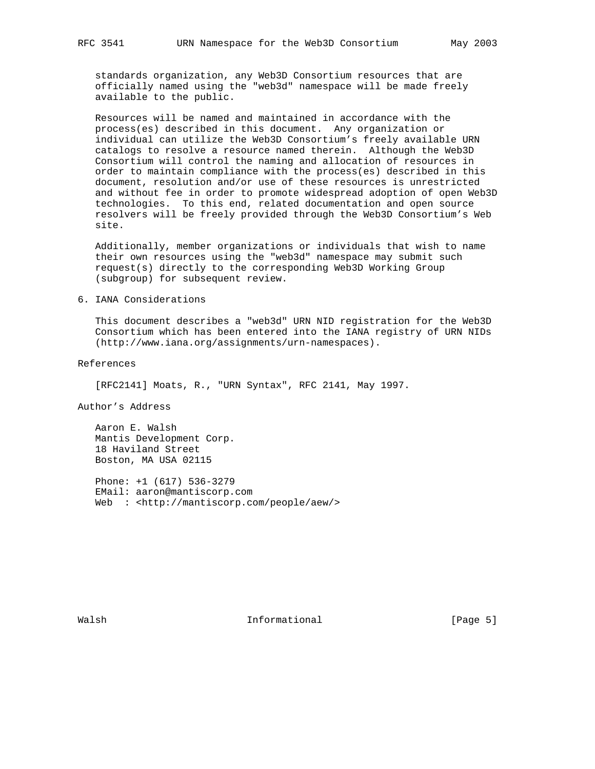standards organization, any Web3D Consortium resources that are officially named using the "web3d" namespace will be made freely available to the public.

 Resources will be named and maintained in accordance with the process(es) described in this document. Any organization or individual can utilize the Web3D Consortium's freely available URN catalogs to resolve a resource named therein. Although the Web3D Consortium will control the naming and allocation of resources in order to maintain compliance with the process(es) described in this document, resolution and/or use of these resources is unrestricted and without fee in order to promote widespread adoption of open Web3D technologies. To this end, related documentation and open source resolvers will be freely provided through the Web3D Consortium's Web site.

 Additionally, member organizations or individuals that wish to name their own resources using the "web3d" namespace may submit such request(s) directly to the corresponding Web3D Working Group (subgroup) for subsequent review.

6. IANA Considerations

 This document describes a "web3d" URN NID registration for the Web3D Consortium which has been entered into the IANA registry of URN NIDs (http://www.iana.org/assignments/urn-namespaces).

References

[RFC2141] Moats, R., "URN Syntax", RFC 2141, May 1997.

Author's Address

 Aaron E. Walsh Mantis Development Corp. 18 Haviland Street Boston, MA USA 02115

 Phone: +1 (617) 536-3279 EMail: aaron@mantiscorp.com Web : <http://mantiscorp.com/people/aew/>

Walsh **Informational Informational Informational** [Page 5]